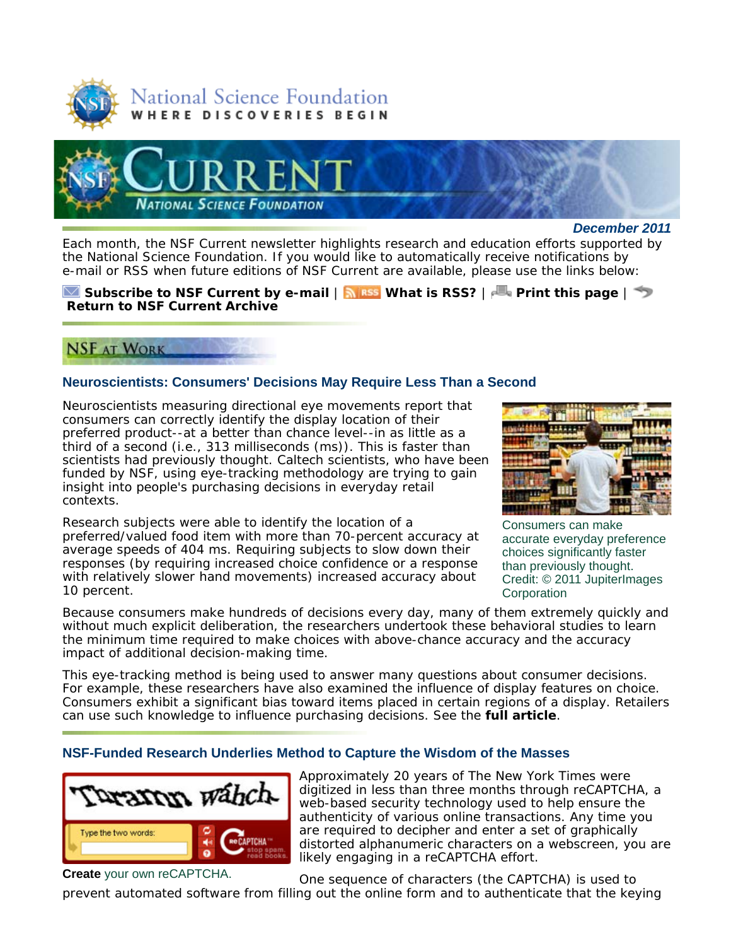



*December 2011*

Each month, the *NSF Current* newsletter highlights research and education efforts supported by the National Science Foundation. If you would like to automatically receive notifications by e-mail or RSS when future editions of *NSF Current* are available, please use the links below:

#### **Subscribe to** *NSF Current* **by e-mail** | **What is RSS?** | **Print this page** | **Return to** *NSF Current* **Archive**

# **NSF AT WORK**

## **Neuroscientists: Consumers' Decisions May Require Less Than a Second**

Neuroscientists measuring directional eye movements report that consumers can correctly identify the display location of their preferred product--at a better than chance level--in as little as a third of a second (i.e., 313 milliseconds (ms)). This is faster than scientists had previously thought. Caltech scientists, who have been funded by NSF, using eye-tracking methodology are trying to gain insight into people's purchasing decisions in everyday retail contexts.

Research subjects were able to identify the location of a preferred/valued food item with more than 70-percent accuracy at average speeds of 404 ms. Requiring subjects to slow down their responses (by requiring increased choice confidence or a response with relatively slower hand movements) increased accuracy about 10 percent.



Consumers can make accurate everyday preference choices significantly faster than previously thought. Credit: © 2011 JupiterImages **Corporation** 

Because consumers make hundreds of decisions every day, many of them extremely quickly and without much explicit deliberation, the researchers undertook these behavioral studies to learn the minimum time required to make choices with above-chance accuracy and the accuracy impact of additional decision-making time.

This eye-tracking method is being used to answer many questions about consumer decisions. For example, these researchers have also examined the influence of display features on choice. Consumers exhibit a significant bias toward items placed in certain regions of a display. Retailers can use such knowledge to influence purchasing decisions. See the **full article**.

## **NSF-Funded Research Underlies Method to Capture the Wisdom of the Masses**



Approximately 20 years of *The New York Times* were digitized in less than three months through reCAPTCHA, a web-based security technology used to help ensure the authenticity of various online transactions. Any time you are required to decipher and enter a set of graphically distorted alphanumeric characters on a webscreen, you are likely engaging in a reCAPTCHA effort.

One sequence of characters (the CAPTCHA) is used to prevent automated software from filling out the online form and to authenticate that the keying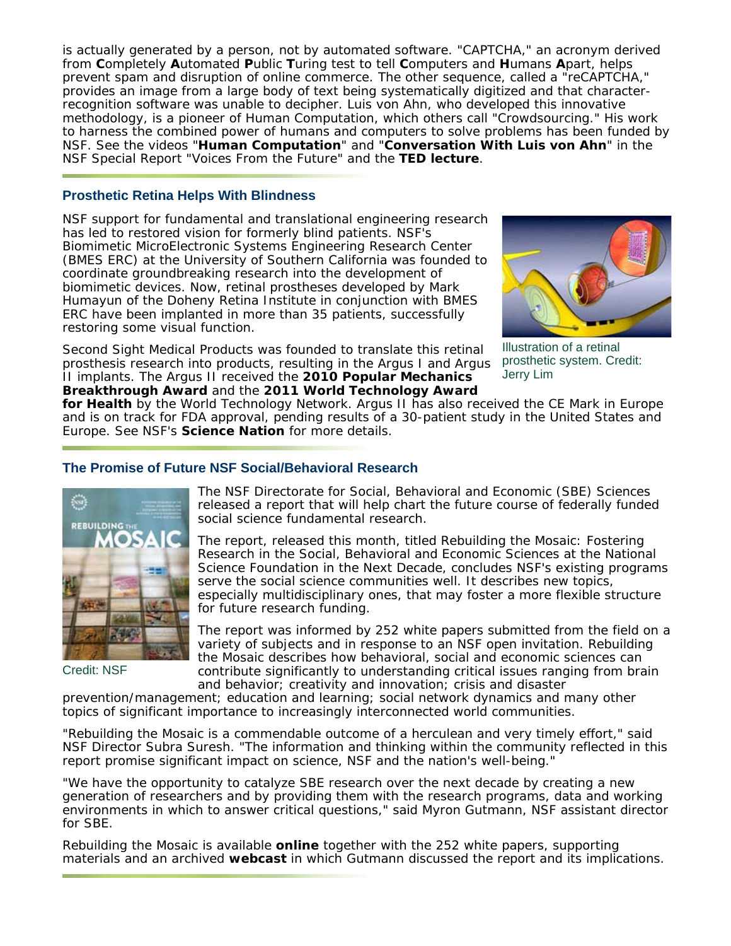is actually generated by a person, not by automated software. "CAPTCHA," an acronym derived from **C**ompletely **A**utomated **P**ublic **T**uring test to tell **C**omputers and **H**umans **A**part, helps prevent spam and disruption of online commerce. The other sequence, called a "reCAPTCHA," provides an image from a large body of text being systematically digitized and that characterrecognition software was unable to decipher. Luis von Ahn, who developed this innovative methodology, is a pioneer of Human Computation, which others call "Crowdsourcing." His work to harness the combined power of humans and computers to solve problems has been funded by NSF. See the videos "**Human Computation**" and "**Conversation With Luis von Ahn**" in the NSF Special Report "Voices From the Future" and the **TED lecture**.

#### **Prosthetic Retina Helps With Blindness**

NSF support for fundamental and translational engineering research has led to restored vision for formerly blind patients. NSF's Biomimetic MicroElectronic Systems Engineering Research Center (BMES ERC) at the University of Southern California was founded to coordinate groundbreaking research into the development of biomimetic devices. Now, retinal prostheses developed by Mark Humayun of the Doheny Retina Institute in conjunction with BMES ERC have been implanted in more than 35 patients, successfully restoring some visual function.

Second Sight Medical Products was founded to translate this retinal prosthesis research into products, resulting in the Argus I and Argus II implants. The Argus II received the **2010 Popular Mechanics Breakthrough Award** and the **2011 World Technology Award**



Illustration of a retinal prosthetic system. Credit: Jerry Lim

**for Health** by the World Technology Network. Argus II has also received the CE Mark in Europe and is on track for FDA approval, pending results of a 30-patient study in the United States and Europe. See NSF's **Science Nation** for more details.

## **The Promise of Future NSF Social/Behavioral Research**



Credit: NSF

The NSF Directorate for Social, Behavioral and Economic (SBE) Sciences released a report that will help chart the future course of federally funded social science fundamental research.

The report, released this month, titled *Rebuilding the Mosaic: Fostering Research in the Social, Behavioral and Economic Sciences at the National Science Foundation in the Next Decade*, concludes NSF's existing programs serve the social science communities well. It describes new topics, especially multidisciplinary ones, that may foster a more flexible structure for future research funding.

The report was informed by 252 white papers submitted from the field on a variety of subjects and in response to an NSF open invitation. *Rebuilding the Mosaic* describes how behavioral, social and economic sciences can contribute significantly to understanding critical issues ranging from brain and behavior; creativity and innovation; crisis and disaster

prevention/management; education and learning; social network dynamics and many other topics of significant importance to increasingly interconnected world communities.

"*Rebuilding the Mosaic* is a commendable outcome of a herculean and very timely effort," said NSF Director Subra Suresh. "The information and thinking within the community reflected in this report promise significant impact on science, NSF and the nation's well-being."

"We have the opportunity to catalyze SBE research over the next decade by creating a new generation of researchers and by providing them with the research programs, data and working environments in which to answer critical questions," said Myron Gutmann, NSF assistant director for SBE.

*Rebuilding the Mosaic* is available **online** together with the 252 white papers, supporting materials and an archived **webcast** in which Gutmann discussed the report and its implications.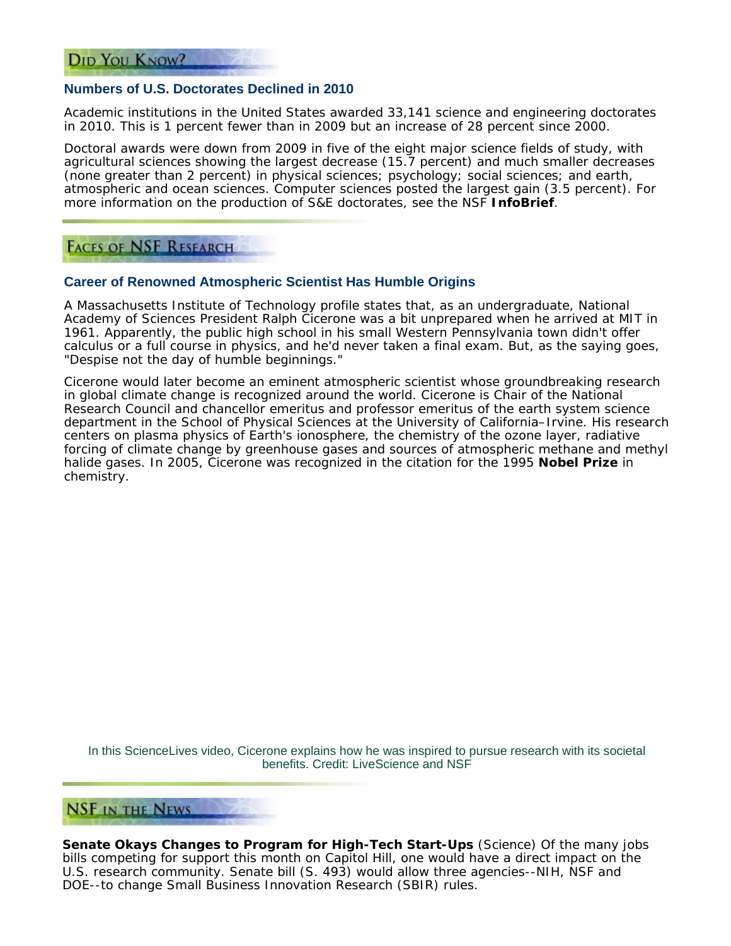#### **Numbers of U.S. Doctorates Declined in 2010**

Academic institutions in the United States awarded 33,141 science and engineering doctorates in 2010. This is 1 percent fewer than in 2009 but an increase of 28 percent since 2000.

Doctoral awards were down from 2009 in five of the eight major science fields of study, with agricultural sciences showing the largest decrease (15.7 percent) and much smaller decreases (none greater than 2 percent) in physical sciences; psychology; social sciences; and earth, atmospheric and ocean sciences. Computer sciences posted the largest gain (3.5 percent). For more information on the production of S&E doctorates, see the NSF **InfoBrief**.

**FACES OF NSF RESEARCH** 

#### **Career of Renowned Atmospheric Scientist Has Humble Origins**

A Massachusetts Institute of Technology profile states that, as an undergraduate, National Academy of Sciences President Ralph Cicerone was a bit unprepared when he arrived at MIT in 1961. Apparently, the public high school in his small Western Pennsylvania town didn't offer calculus or a full course in physics, and he'd never taken a final exam. But, as the saying goes, "Despise not the day of humble beginnings."

Cicerone would later become an eminent atmospheric scientist whose groundbreaking research in global climate change is recognized around the world. Cicerone is Chair of the National Research Council and chancellor emeritus and professor emeritus of the earth system science department in the School of Physical Sciences at the University of California–Irvine. His research centers on plasma physics of Earth's ionosphere, the chemistry of the ozone layer, radiative forcing of climate change by greenhouse gases and sources of atmospheric methane and methyl halide gases. In 2005, Cicerone was recognized in the citation for the 1995 **Nobel Prize** in chemistry.

In this ScienceLives video, Cicerone explains how he was inspired to pursue research with its societal benefits. Credit: LiveScience and NSF

# **NSF IN THE NEWS**

**Senate Okays Changes to Program for High-Tech Start-Ups** (*Science*) Of the many jobs bills competing for support this month on Capitol Hill, one would have a direct impact on the U.S. research community. Senate bill (S. 493) would allow three agencies--NIH, NSF and DOE--to change Small Business Innovation Research (SBIR) rules.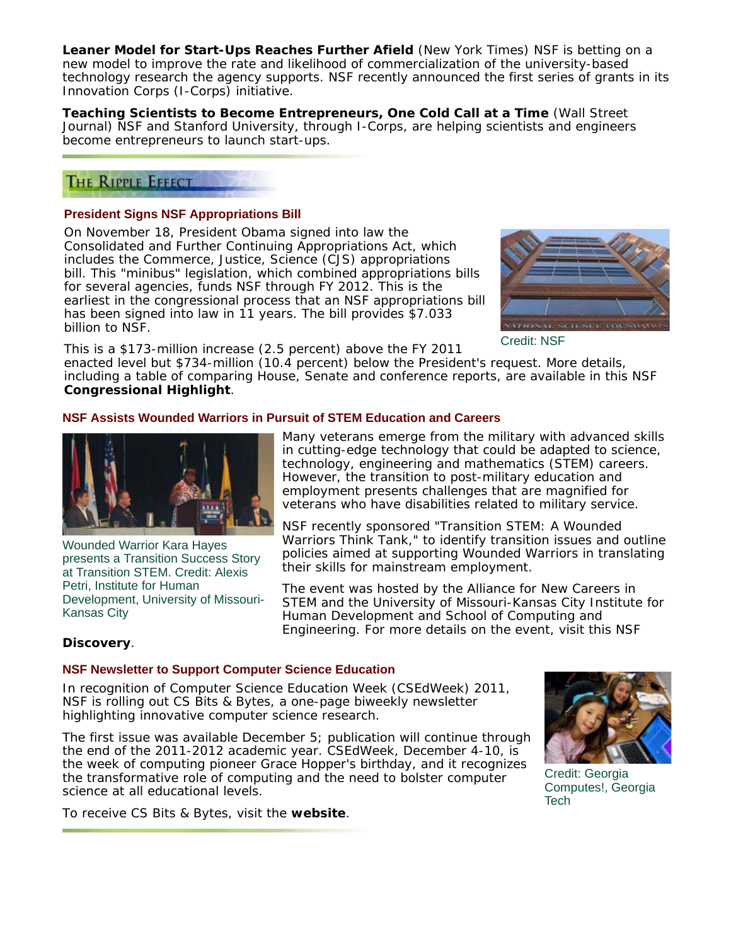**Leaner Model for Start-Ups Reaches Further Afield** (*New York Times*) NSF is betting on a new model to improve the rate and likelihood of commercialization of the university-based technology research the agency supports. NSF recently announced the first series of grants in its Innovation Corps (I-Corps) initiative.

**Teaching Scientists to Become Entrepreneurs, One Cold Call at a Time** (*Wall Street Journal*) NSF and Stanford University, through I-Corps, are helping scientists and engineers become entrepreneurs to launch start-ups.

# **THE RIPPLE EFFECT**

#### **President Signs NSF Appropriations Bill**

On November 18, President Obama signed into law the *Consolidated and Further Continuing Appropriations Act*, which includes the Commerce, Justice, Science (CJS) appropriations bill. This "minibus" legislation, which combined appropriations bills for several agencies, funds NSF through FY 2012. This is the earliest in the congressional process that an NSF appropriations bill has been signed into law in 11 years. The bill provides \$7.033 billion to NSF.



Credit: NSF

This is a \$173-million increase (2.5 percent) above the FY 2011

enacted level but \$734-million (10.4 percent) below the President's request. More details, including a table of comparing House, Senate and conference reports, are available in this NSF **Congressional Highlight**.

#### **NSF Assists Wounded Warriors in Pursuit of STEM Education and Careers**



Wounded Warrior Kara Hayes presents a Transition Success Story at Transition STEM. Credit: Alexis Petri, Institute for Human Development, University of Missouri-Kansas City

Many veterans emerge from the military with advanced skills in cutting-edge technology that could be adapted to science, technology, engineering and mathematics (STEM) careers. However, the transition to post-military education and employment presents challenges that are magnified for veterans who have disabilities related to military service.

NSF recently sponsored "Transition STEM: A Wounded Warriors Think Tank," to identify transition issues and outline policies aimed at supporting Wounded Warriors in translating their skills for mainstream employment.

The event was hosted by the Alliance for New Careers in STEM and the University of Missouri-Kansas City Institute for Human Development and School of Computing and Engineering. For more details on the event, visit this NSF

## **Discovery**.

# **NSF Newsletter to Support Computer Science Education**

In recognition of Computer Science Education Week (CSEdWeek) 2011, NSF is rolling out *CS Bits & Bytes*, a one-page biweekly newsletter highlighting innovative computer science research.

The first issue was available December 5; publication will continue through the end of the 2011-2012 academic year. CSEdWeek, December 4-10, is the week of computing pioneer Grace Hopper's birthday, and it recognizes the transformative role of computing and the need to bolster computer science at all educational levels.



Credit: Georgia Computes!, Georgia **Tech** 

To receive *CS Bits & Bytes*, visit the **website**.